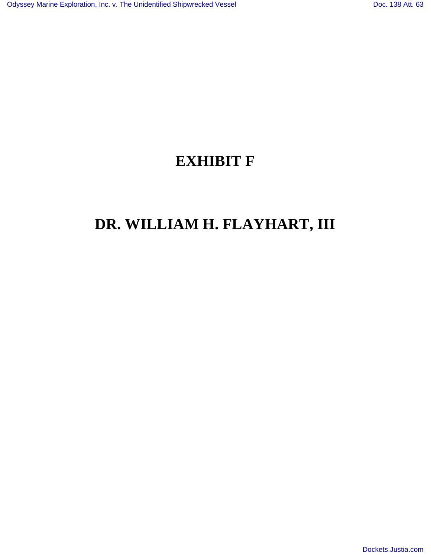## **EXHIBIT F**

## **DR. WILLIAM H. FLAYHART, III**

[Dockets.Justia.com](http://dockets.justia.com/)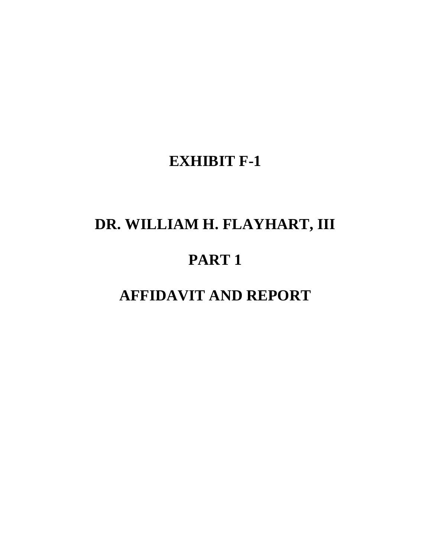## **EXHIBIT F-1**

# **DR. WILLIAM H. FLAYHART, III**

## **PART 1**

## **AFFIDAVIT AND REPORT**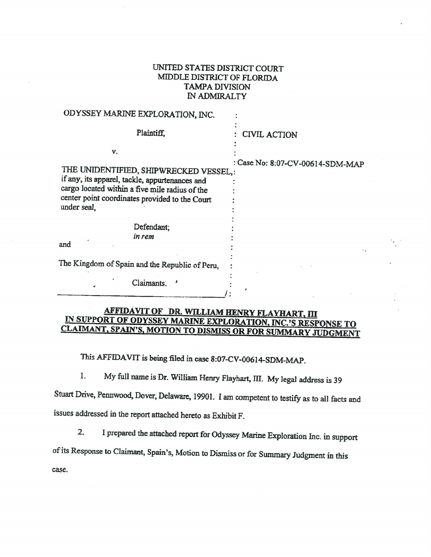### UNITED STATES DISTRICT COURT MIDDLE DISTRICT OF FLORIDA **TAMPA DIVISION** IN ADMIRALTY

| ODYSSEY MARINE EXPLORATION, INC.                                                                 |                                  |
|--------------------------------------------------------------------------------------------------|----------------------------------|
| Plaintiff.                                                                                       | : CIVIL ACTION                   |
| V.                                                                                               |                                  |
| THE UNIDENTIFIED, SHIPWRECKED VESSEL,:                                                           | : Case No: 8:07-CV-00614-SDM-MAP |
| if any, its apparel, tackle, appurtenances and<br>cargo located within a five mile radius of the |                                  |
| center point coordinates provided to the Court<br>under seal.                                    |                                  |
| Defendant;                                                                                       |                                  |
| in rem                                                                                           |                                  |
| and                                                                                              |                                  |
| The Kingdom of Spain and the Republic of Peru,                                                   |                                  |
| Claimants.                                                                                       |                                  |
|                                                                                                  |                                  |

### AFFIDAVIT OF DR. WILLIAM HENRY FLAYHART, III IN SUPPORT OF ODYSSEY MARINE EXPLORATION, INC.'S RESPONSE TO CLAIMANT, SPAIN'S, MOTION TO DISMISS OR FOR SUMMARY JUDGMENT

This AFFIDAVIT is being filed in case 8:07-CV-00614-SDM-MAP.

My full name is Dr. William Henry Flayhart, III. My legal address is 39 1.

Stuart Drive, Pennwood, Dover, Delaware, 19901. I am competent to testify as to all facts and issues addressed in the report attached hereto as Exhibit F.

I prepared the attached report for Odyssey Marine Exploration Inc. in support  $2.$ 

of its Response to Claimant, Spain's, Motion to Dismiss or for Summary Judgment in this

case.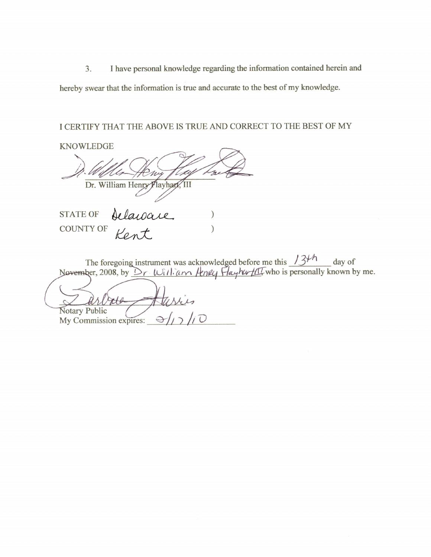I have personal knowledge regarding the information contained herein and  $3.$ 

hereby swear that the information is true and accurate to the best of my knowledge.

### I CERTIFY THAT THE ABOVE IS TRUE AND CORRECT TO THE BEST OF MY

**KNOWLEDGE** Dr. William Henry Flayhan **STATE OF** Delaware **COUNTY OF** 

The foregoing instrument was acknowledged before me this  $134h$  day of November, 2008, by  $\Delta r$  Will an Henry HayhwHI who is personally known by me.

**Notary Public** 

My Commission expires: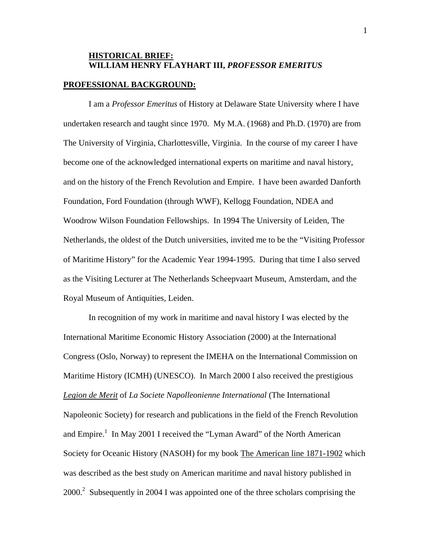### **HISTORICAL BRIEF: WILLIAM HENRY FLAYHART III,** *PROFESSOR EMERITUS*

### **PROFESSIONAL BACKGROUND:**

I am a *Professor Emeritus* of History at Delaware State University where I have undertaken research and taught since 1970. My M.A. (1968) and Ph.D. (1970) are from The University of Virginia, Charlottesville, Virginia. In the course of my career I have become one of the acknowledged international experts on maritime and naval history, and on the history of the French Revolution and Empire. I have been awarded Danforth Foundation, Ford Foundation (through WWF), Kellogg Foundation, NDEA and Woodrow Wilson Foundation Fellowships. In 1994 The University of Leiden, The Netherlands, the oldest of the Dutch universities, invited me to be the "Visiting Professor of Maritime History" for the Academic Year 1994-1995. During that time I also served as the Visiting Lecturer at The Netherlands Scheepvaart Museum, Amsterdam, and the Royal Museum of Antiquities, Leiden.

 In recognition of my work in maritime and naval history I was elected by the International Maritime Economic History Association (2000) at the International Congress (Oslo, Norway) to represent the IMEHA on the International Commission on Maritime History (ICMH) (UNESCO). In March 2000 I also received the prestigious *Legion de Merit* of *La Societe Napolleonienne International* (The International Napoleonic Society) for research and publications in the field of the French Revolution and Empire.<sup>1</sup> In May 2001 I received the "Lyman Award" of the North American Society for Oceanic History (NASOH) for my book The American line 1871-1902 which was described as the best study on American maritime and naval history published in 2000.<sup>2</sup> Subsequently in 2004 I was appointed one of the three scholars comprising the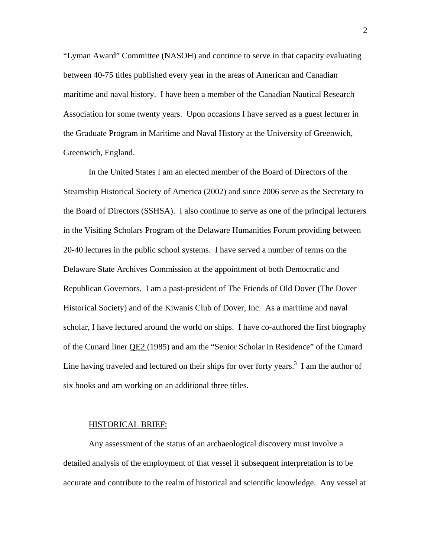"Lyman Award" Committee (NASOH) and continue to serve in that capacity evaluating between 40-75 titles published every year in the areas of American and Canadian maritime and naval history. I have been a member of the Canadian Nautical Research Association for some twenty years. Upon occasions I have served as a guest lecturer in the Graduate Program in Maritime and Naval History at the University of Greenwich, Greenwich, England.

 In the United States I am an elected member of the Board of Directors of the Steamship Historical Society of America (2002) and since 2006 serve as the Secretary to the Board of Directors (SSHSA). I also continue to serve as one of the principal lecturers in the Visiting Scholars Program of the Delaware Humanities Forum providing between 20-40 lectures in the public school systems. I have served a number of terms on the Delaware State Archives Commission at the appointment of both Democratic and Republican Governors. I am a past-president of The Friends of Old Dover (The Dover Historical Society) and of the Kiwanis Club of Dover, Inc. As a maritime and naval scholar, I have lectured around the world on ships. I have co-authored the first biography of the Cunard liner QE2 (1985) and am the "Senior Scholar in Residence" of the Cunard Line having traveled and lectured on their ships for over forty years.<sup>3</sup> I am the author of six books and am working on an additional three titles.

#### HISTORICAL BRIEF:

 Any assessment of the status of an archaeological discovery must involve a detailed analysis of the employment of that vessel if subsequent interpretation is to be accurate and contribute to the realm of historical and scientific knowledge. Any vessel at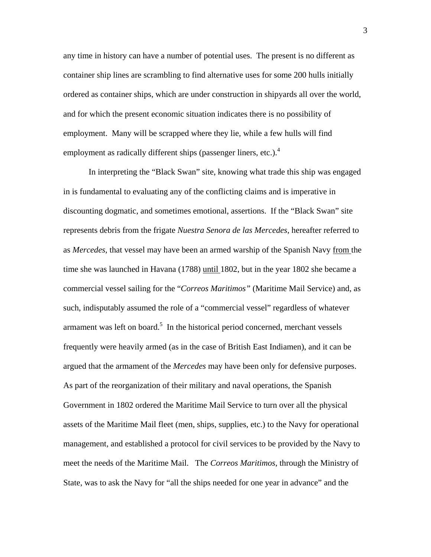any time in history can have a number of potential uses. The present is no different as container ship lines are scrambling to find alternative uses for some 200 hulls initially ordered as container ships, which are under construction in shipyards all over the world, and for which the present economic situation indicates there is no possibility of employment. Many will be scrapped where they lie, while a few hulls will find employment as radically different ships (passenger liners, etc.). $4$ 

 In interpreting the "Black Swan" site, knowing what trade this ship was engaged in is fundamental to evaluating any of the conflicting claims and is imperative in discounting dogmatic, and sometimes emotional, assertions. If the "Black Swan" site represents debris from the frigate *Nuestra Senora de las Mercedes*, hereafter referred to as *Mercedes*, that vessel may have been an armed warship of the Spanish Navy from the time she was launched in Havana (1788) until 1802, but in the year 1802 she became a commercial vessel sailing for the "*Correos Maritimos"* (Maritime Mail Service) and, as such, indisputably assumed the role of a "commercial vessel" regardless of whatever armament was left on board.<sup>5</sup> In the historical period concerned, merchant vessels frequently were heavily armed (as in the case of British East Indiamen), and it can be argued that the armament of the *Mercedes* may have been only for defensive purposes. As part of the reorganization of their military and naval operations, the Spanish Government in 1802 ordered the Maritime Mail Service to turn over all the physical assets of the Maritime Mail fleet (men, ships, supplies, etc.) to the Navy for operational management, and established a protocol for civil services to be provided by the Navy to meet the needs of the Maritime Mail. The *Correos Maritimos*, through the Ministry of State, was to ask the Navy for "all the ships needed for one year in advance" and the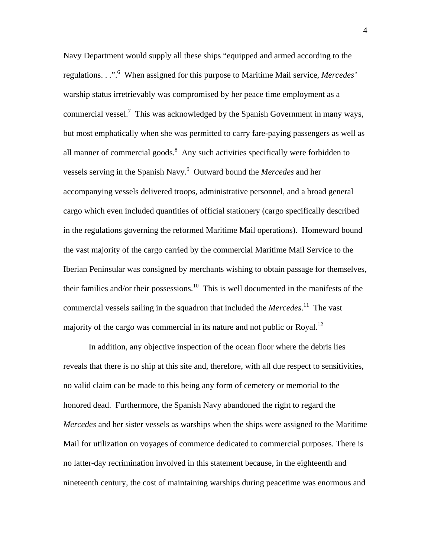Navy Department would supply all these ships "equipped and armed according to the regulations. . .".6 When assigned for this purpose to Maritime Mail service, *Mercedes'* warship status irretrievably was compromised by her peace time employment as a commercial vessel.<sup>7</sup> This was acknowledged by the Spanish Government in many ways, but most emphatically when she was permitted to carry fare-paying passengers as well as all manner of commercial goods. $8$  Any such activities specifically were forbidden to vessels serving in the Spanish Navy.9 Outward bound the *Mercedes* and her accompanying vessels delivered troops, administrative personnel, and a broad general cargo which even included quantities of official stationery (cargo specifically described in the regulations governing the reformed Maritime Mail operations). Homeward bound the vast majority of the cargo carried by the commercial Maritime Mail Service to the Iberian Peninsular was consigned by merchants wishing to obtain passage for themselves, their families and/or their possessions.<sup>10</sup> This is well documented in the manifests of the commercial vessels sailing in the squadron that included the *Mercedes*. 11 The vast majority of the cargo was commercial in its nature and not public or Royal.<sup>12</sup>

 In addition, any objective inspection of the ocean floor where the debris lies reveals that there is no ship at this site and, therefore, with all due respect to sensitivities, no valid claim can be made to this being any form of cemetery or memorial to the honored dead. Furthermore, the Spanish Navy abandoned the right to regard the *Mercedes* and her sister vessels as warships when the ships were assigned to the Maritime Mail for utilization on voyages of commerce dedicated to commercial purposes. There is no latter-day recrimination involved in this statement because, in the eighteenth and nineteenth century, the cost of maintaining warships during peacetime was enormous and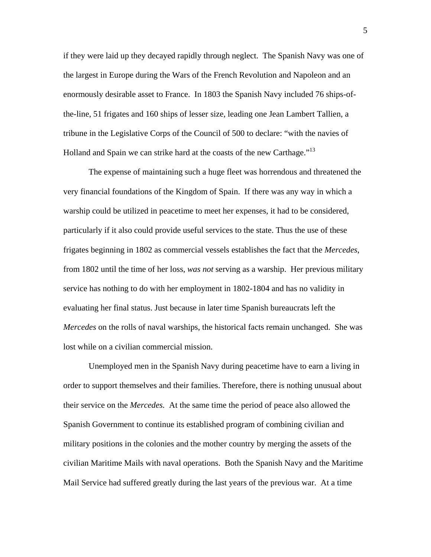if they were laid up they decayed rapidly through neglect. The Spanish Navy was one of the largest in Europe during the Wars of the French Revolution and Napoleon and an enormously desirable asset to France. In 1803 the Spanish Navy included 76 ships-ofthe-line, 51 frigates and 160 ships of lesser size, leading one Jean Lambert Tallien, a tribune in the Legislative Corps of the Council of 500 to declare: "with the navies of Holland and Spain we can strike hard at the coasts of the new Carthage."<sup>13</sup>

 The expense of maintaining such a huge fleet was horrendous and threatened the very financial foundations of the Kingdom of Spain. If there was any way in which a warship could be utilized in peacetime to meet her expenses, it had to be considered, particularly if it also could provide useful services to the state. Thus the use of these frigates beginning in 1802 as commercial vessels establishes the fact that the *Mercedes*, from 1802 until the time of her loss, *was not* serving as a warship. Her previous military service has nothing to do with her employment in 1802-1804 and has no validity in evaluating her final status. Just because in later time Spanish bureaucrats left the *Mercedes* on the rolls of naval warships, the historical facts remain unchanged. She was lost while on a civilian commercial mission.

 Unemployed men in the Spanish Navy during peacetime have to earn a living in order to support themselves and their families. Therefore, there is nothing unusual about their service on the *Mercedes.* At the same time the period of peace also allowed the Spanish Government to continue its established program of combining civilian and military positions in the colonies and the mother country by merging the assets of the civilian Maritime Mails with naval operations. Both the Spanish Navy and the Maritime Mail Service had suffered greatly during the last years of the previous war. At a time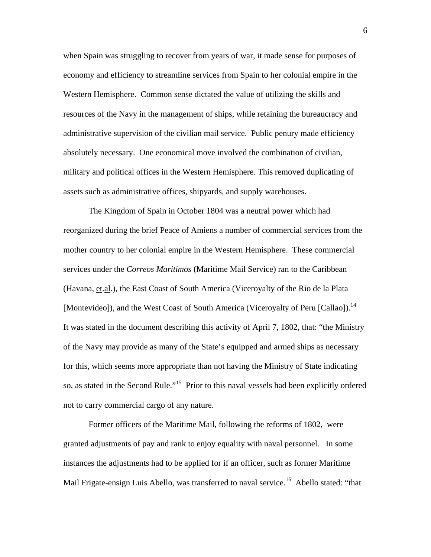when Spain was struggling to recover from years of war, it made sense for purposes of economy and efficiency to streamline services from Spain to her colonial empire in the Western Hemisphere. Common sense dictated the value of utilizing the skills and resources of the Navy in the management of ships, while retaining the bureaucracy and administrative supervision of the civilian mail service. Public penury made efficiency absolutely necessary. One economical move involved the combination of civilian, military and political offices in the Western Hemisphere. This removed duplicating of assets such as administrative offices, shipyards, and supply warehouses.

 The Kingdom of Spain in October 1804 was a neutral power which had reorganized during the brief Peace of Amiens a number of commercial services from the mother country to her colonial empire in the Western Hemisphere. These commercial services under the *Correos Maritimos* (Maritime Mail Service) ran to the Caribbean (Havana, et.al.), the East Coast of South America (Viceroyalty of the Rio de la Plata [Montevideo]), and the West Coast of South America (Viceroyalty of Peru [Callao]).<sup>14</sup> It was stated in the document describing this activity of April 7, 1802, that: "the Ministry of the Navy may provide as many of the State's equipped and armed ships as necessary for this, which seems more appropriate than not having the Ministry of State indicating so, as stated in the Second Rule."<sup>15</sup> Prior to this naval vessels had been explicitly ordered not to carry commercial cargo of any nature.

 Former officers of the Maritime Mail, following the reforms of 1802, were granted adjustments of pay and rank to enjoy equality with naval personnel. In some instances the adjustments had to be applied for if an officer, such as former Maritime Mail Frigate-ensign Luis Abello, was transferred to naval service.<sup>16</sup> Abello stated: "that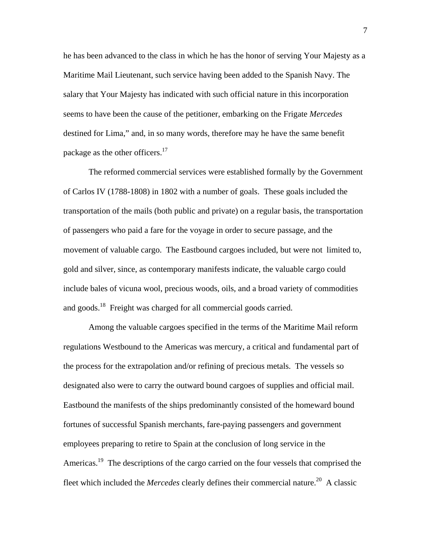he has been advanced to the class in which he has the honor of serving Your Majesty as a Maritime Mail Lieutenant, such service having been added to the Spanish Navy. The salary that Your Majesty has indicated with such official nature in this incorporation seems to have been the cause of the petitioner, embarking on the Frigate *Mercedes* destined for Lima," and, in so many words, therefore may he have the same benefit package as the other officers. $17$ 

 The reformed commercial services were established formally by the Government of Carlos IV (1788-1808) in 1802 with a number of goals. These goals included the transportation of the mails (both public and private) on a regular basis, the transportation of passengers who paid a fare for the voyage in order to secure passage, and the movement of valuable cargo. The Eastbound cargoes included, but were not limited to, gold and silver, since, as contemporary manifests indicate, the valuable cargo could include bales of vicuna wool, precious woods, oils, and a broad variety of commodities and goods.<sup>18</sup> Freight was charged for all commercial goods carried.

 Among the valuable cargoes specified in the terms of the Maritime Mail reform regulations Westbound to the Americas was mercury, a critical and fundamental part of the process for the extrapolation and/or refining of precious metals. The vessels so designated also were to carry the outward bound cargoes of supplies and official mail. Eastbound the manifests of the ships predominantly consisted of the homeward bound fortunes of successful Spanish merchants, fare-paying passengers and government employees preparing to retire to Spain at the conclusion of long service in the Americas.<sup>19</sup> The descriptions of the cargo carried on the four vessels that comprised the fleet which included the *Mercedes* clearly defines their commercial nature.<sup>20</sup> A classic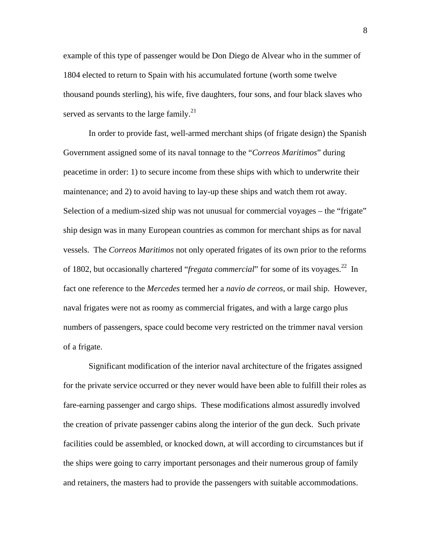example of this type of passenger would be Don Diego de Alvear who in the summer of 1804 elected to return to Spain with his accumulated fortune (worth some twelve thousand pounds sterling), his wife, five daughters, four sons, and four black slaves who served as servants to the large family.<sup>21</sup>

 In order to provide fast, well-armed merchant ships (of frigate design) the Spanish Government assigned some of its naval tonnage to the "*Correos Maritimos*" during peacetime in order: 1) to secure income from these ships with which to underwrite their maintenance; and 2) to avoid having to lay-up these ships and watch them rot away. Selection of a medium-sized ship was not unusual for commercial voyages – the "frigate" ship design was in many European countries as common for merchant ships as for naval vessels. The *Correos Maritimos* not only operated frigates of its own prior to the reforms of 1802, but occasionally chartered "*fregata commercial*" for some of its voyages.<sup>22</sup> In fact one reference to the *Mercedes* termed her a *navio de correos*, or mail ship. However, naval frigates were not as roomy as commercial frigates, and with a large cargo plus numbers of passengers, space could become very restricted on the trimmer naval version of a frigate.

 Significant modification of the interior naval architecture of the frigates assigned for the private service occurred or they never would have been able to fulfill their roles as fare-earning passenger and cargo ships. These modifications almost assuredly involved the creation of private passenger cabins along the interior of the gun deck. Such private facilities could be assembled, or knocked down, at will according to circumstances but if the ships were going to carry important personages and their numerous group of family and retainers, the masters had to provide the passengers with suitable accommodations.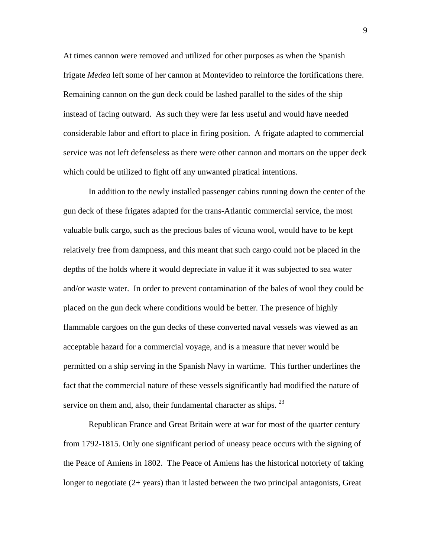At times cannon were removed and utilized for other purposes as when the Spanish frigate *Medea* left some of her cannon at Montevideo to reinforce the fortifications there. Remaining cannon on the gun deck could be lashed parallel to the sides of the ship instead of facing outward. As such they were far less useful and would have needed considerable labor and effort to place in firing position. A frigate adapted to commercial service was not left defenseless as there were other cannon and mortars on the upper deck which could be utilized to fight off any unwanted piratical intentions.

 In addition to the newly installed passenger cabins running down the center of the gun deck of these frigates adapted for the trans-Atlantic commercial service, the most valuable bulk cargo, such as the precious bales of vicuna wool, would have to be kept relatively free from dampness, and this meant that such cargo could not be placed in the depths of the holds where it would depreciate in value if it was subjected to sea water and/or waste water. In order to prevent contamination of the bales of wool they could be placed on the gun deck where conditions would be better. The presence of highly flammable cargoes on the gun decks of these converted naval vessels was viewed as an acceptable hazard for a commercial voyage, and is a measure that never would be permitted on a ship serving in the Spanish Navy in wartime. This further underlines the fact that the commercial nature of these vessels significantly had modified the nature of service on them and, also, their fundamental character as ships.  $23$ 

 Republican France and Great Britain were at war for most of the quarter century from 1792-1815. Only one significant period of uneasy peace occurs with the signing of the Peace of Amiens in 1802. The Peace of Amiens has the historical notoriety of taking longer to negotiate (2+ years) than it lasted between the two principal antagonists, Great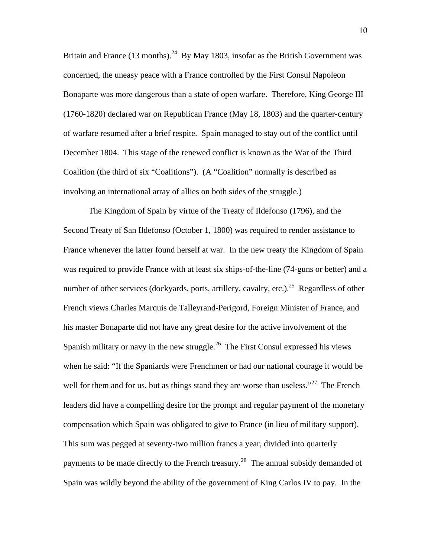Britain and France (13 months).<sup>24</sup> By May 1803, insofar as the British Government was concerned, the uneasy peace with a France controlled by the First Consul Napoleon Bonaparte was more dangerous than a state of open warfare. Therefore, King George III (1760-1820) declared war on Republican France (May 18, 1803) and the quarter-century of warfare resumed after a brief respite. Spain managed to stay out of the conflict until December 1804. This stage of the renewed conflict is known as the War of the Third Coalition (the third of six "Coalitions"). (A "Coalition" normally is described as involving an international array of allies on both sides of the struggle.)

 The Kingdom of Spain by virtue of the Treaty of Ildefonso (1796), and the Second Treaty of San Ildefonso (October 1, 1800) was required to render assistance to France whenever the latter found herself at war. In the new treaty the Kingdom of Spain was required to provide France with at least six ships-of-the-line (74-guns or better) and a number of other services (dockyards, ports, artillery, cavalry, etc.).<sup>25</sup> Regardless of other French views Charles Marquis de Talleyrand-Perigord, Foreign Minister of France, and his master Bonaparte did not have any great desire for the active involvement of the Spanish military or navy in the new struggle.<sup>26</sup> The First Consul expressed his views when he said: "If the Spaniards were Frenchmen or had our national courage it would be well for them and for us, but as things stand they are worse than useless."<sup>27</sup> The French leaders did have a compelling desire for the prompt and regular payment of the monetary compensation which Spain was obligated to give to France (in lieu of military support). This sum was pegged at seventy-two million francs a year, divided into quarterly payments to be made directly to the French treasury.<sup>28</sup> The annual subsidy demanded of Spain was wildly beyond the ability of the government of King Carlos IV to pay. In the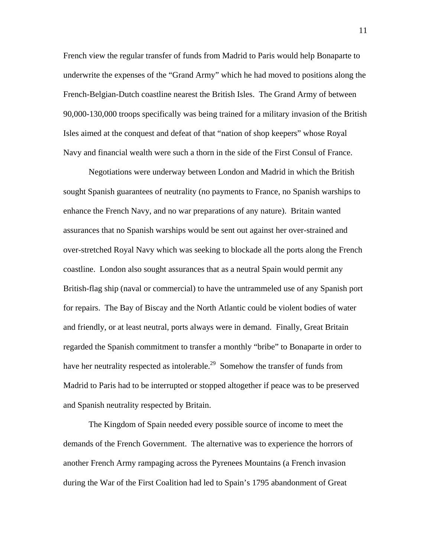French view the regular transfer of funds from Madrid to Paris would help Bonaparte to underwrite the expenses of the "Grand Army" which he had moved to positions along the French-Belgian-Dutch coastline nearest the British Isles. The Grand Army of between 90,000-130,000 troops specifically was being trained for a military invasion of the British Isles aimed at the conquest and defeat of that "nation of shop keepers" whose Royal Navy and financial wealth were such a thorn in the side of the First Consul of France.

 Negotiations were underway between London and Madrid in which the British sought Spanish guarantees of neutrality (no payments to France, no Spanish warships to enhance the French Navy, and no war preparations of any nature). Britain wanted assurances that no Spanish warships would be sent out against her over-strained and over-stretched Royal Navy which was seeking to blockade all the ports along the French coastline. London also sought assurances that as a neutral Spain would permit any British-flag ship (naval or commercial) to have the untrammeled use of any Spanish port for repairs. The Bay of Biscay and the North Atlantic could be violent bodies of water and friendly, or at least neutral, ports always were in demand. Finally, Great Britain regarded the Spanish commitment to transfer a monthly "bribe" to Bonaparte in order to have her neutrality respected as intolerable.<sup>29</sup> Somehow the transfer of funds from Madrid to Paris had to be interrupted or stopped altogether if peace was to be preserved and Spanish neutrality respected by Britain.

 The Kingdom of Spain needed every possible source of income to meet the demands of the French Government. The alternative was to experience the horrors of another French Army rampaging across the Pyrenees Mountains (a French invasion during the War of the First Coalition had led to Spain's 1795 abandonment of Great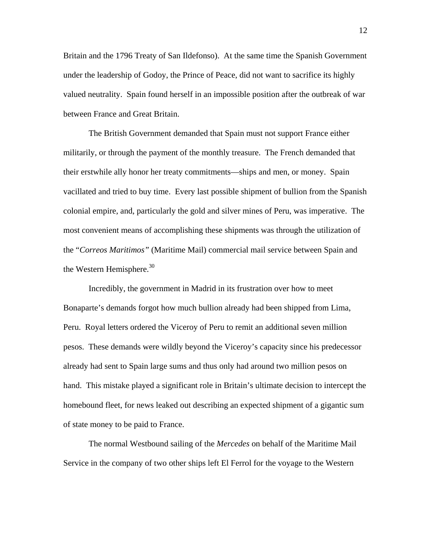Britain and the 1796 Treaty of San Ildefonso). At the same time the Spanish Government under the leadership of Godoy, the Prince of Peace, did not want to sacrifice its highly valued neutrality. Spain found herself in an impossible position after the outbreak of war between France and Great Britain.

 The British Government demanded that Spain must not support France either militarily, or through the payment of the monthly treasure. The French demanded that their erstwhile ally honor her treaty commitments—ships and men, or money. Spain vacillated and tried to buy time. Every last possible shipment of bullion from the Spanish colonial empire, and, particularly the gold and silver mines of Peru, was imperative. The most convenient means of accomplishing these shipments was through the utilization of the "*Correos Maritimos"* (Maritime Mail) commercial mail service between Spain and the Western Hemisphere. $30<sup>30</sup>$ 

 Incredibly, the government in Madrid in its frustration over how to meet Bonaparte's demands forgot how much bullion already had been shipped from Lima, Peru. Royal letters ordered the Viceroy of Peru to remit an additional seven million pesos. These demands were wildly beyond the Viceroy's capacity since his predecessor already had sent to Spain large sums and thus only had around two million pesos on hand. This mistake played a significant role in Britain's ultimate decision to intercept the homebound fleet, for news leaked out describing an expected shipment of a gigantic sum of state money to be paid to France.

The normal Westbound sailing of the *Mercedes* on behalf of the Maritime Mail Service in the company of two other ships left El Ferrol for the voyage to the Western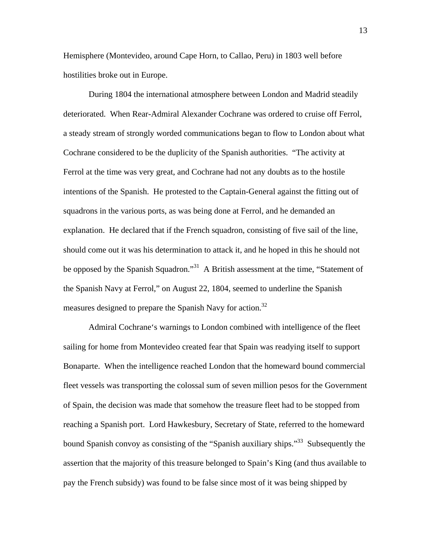Hemisphere (Montevideo, around Cape Horn, to Callao, Peru) in 1803 well before hostilities broke out in Europe.

 During 1804 the international atmosphere between London and Madrid steadily deteriorated. When Rear-Admiral Alexander Cochrane was ordered to cruise off Ferrol, a steady stream of strongly worded communications began to flow to London about what Cochrane considered to be the duplicity of the Spanish authorities. "The activity at Ferrol at the time was very great, and Cochrane had not any doubts as to the hostile intentions of the Spanish. He protested to the Captain-General against the fitting out of squadrons in the various ports, as was being done at Ferrol, and he demanded an explanation. He declared that if the French squadron, consisting of five sail of the line, should come out it was his determination to attack it, and he hoped in this he should not be opposed by the Spanish Squadron."<sup>31</sup> A British assessment at the time, "Statement of the Spanish Navy at Ferrol," on August 22, 1804, seemed to underline the Spanish measures designed to prepare the Spanish Navy for action.<sup>32</sup>

 Admiral Cochrane's warnings to London combined with intelligence of the fleet sailing for home from Montevideo created fear that Spain was readying itself to support Bonaparte. When the intelligence reached London that the homeward bound commercial fleet vessels was transporting the colossal sum of seven million pesos for the Government of Spain, the decision was made that somehow the treasure fleet had to be stopped from reaching a Spanish port. Lord Hawkesbury, Secretary of State, referred to the homeward bound Spanish convoy as consisting of the "Spanish auxiliary ships."<sup>33</sup> Subsequently the assertion that the majority of this treasure belonged to Spain's King (and thus available to pay the French subsidy) was found to be false since most of it was being shipped by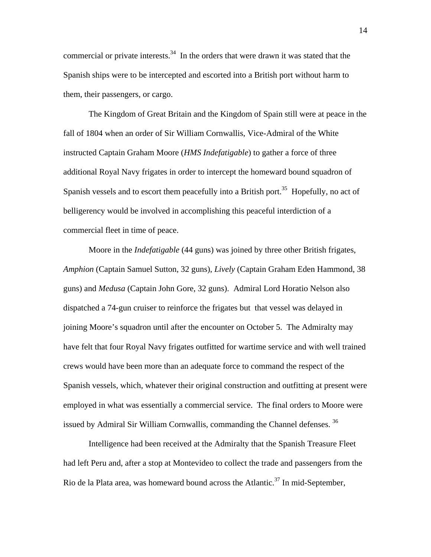commercial or private interests. $34$  In the orders that were drawn it was stated that the Spanish ships were to be intercepted and escorted into a British port without harm to them, their passengers, or cargo.

 The Kingdom of Great Britain and the Kingdom of Spain still were at peace in the fall of 1804 when an order of Sir William Cornwallis, Vice-Admiral of the White instructed Captain Graham Moore (*HMS Indefatigable*) to gather a force of three additional Royal Navy frigates in order to intercept the homeward bound squadron of Spanish vessels and to escort them peacefully into a British port.<sup>35</sup> Hopefully, no act of belligerency would be involved in accomplishing this peaceful interdiction of a commercial fleet in time of peace.

 Moore in the *Indefatigable* (44 guns) was joined by three other British frigates, *Amphion* (Captain Samuel Sutton, 32 guns), *Lively* (Captain Graham Eden Hammond, 38 guns) and *Medusa* (Captain John Gore, 32 guns). Admiral Lord Horatio Nelson also dispatched a 74-gun cruiser to reinforce the frigates but that vessel was delayed in joining Moore's squadron until after the encounter on October 5. The Admiralty may have felt that four Royal Navy frigates outfitted for wartime service and with well trained crews would have been more than an adequate force to command the respect of the Spanish vessels, which, whatever their original construction and outfitting at present were employed in what was essentially a commercial service. The final orders to Moore were issued by Admiral Sir William Cornwallis, commanding the Channel defenses.<sup>36</sup>

 Intelligence had been received at the Admiralty that the Spanish Treasure Fleet had left Peru and, after a stop at Montevideo to collect the trade and passengers from the Rio de la Plata area, was homeward bound across the Atlantic.<sup>37</sup> In mid-September,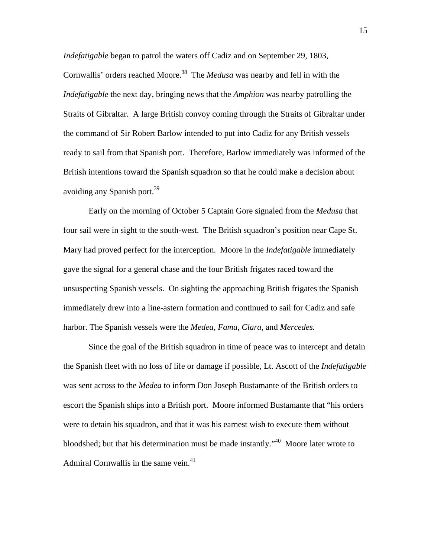*Indefatigable* began to patrol the waters off Cadiz and on September 29, 1803, Cornwallis' orders reached Moore.<sup>38</sup> The *Medusa* was nearby and fell in with the *Indefatigable* the next day, bringing news that the *Amphion* was nearby patrolling the Straits of Gibraltar. A large British convoy coming through the Straits of Gibraltar under the command of Sir Robert Barlow intended to put into Cadiz for any British vessels ready to sail from that Spanish port. Therefore, Barlow immediately was informed of the British intentions toward the Spanish squadron so that he could make a decision about avoiding any Spanish port.<sup>39</sup>

 Early on the morning of October 5 Captain Gore signaled from the *Medusa* that four sail were in sight to the south-west. The British squadron's position near Cape St. Mary had proved perfect for the interception. Moore in the *Indefatigable* immediately gave the signal for a general chase and the four British frigates raced toward the unsuspecting Spanish vessels. On sighting the approaching British frigates the Spanish immediately drew into a line-astern formation and continued to sail for Cadiz and safe harbor. The Spanish vessels were the *Medea, Fama, Clara,* and *Mercedes.*

 Since the goal of the British squadron in time of peace was to intercept and detain the Spanish fleet with no loss of life or damage if possible, Lt. Ascott of the *Indefatigable* was sent across to the *Medea* to inform Don Joseph Bustamante of the British orders to escort the Spanish ships into a British port. Moore informed Bustamante that "his orders were to detain his squadron, and that it was his earnest wish to execute them without bloodshed; but that his determination must be made instantly."40 Moore later wrote to Admiral Cornwallis in the same vein. $41$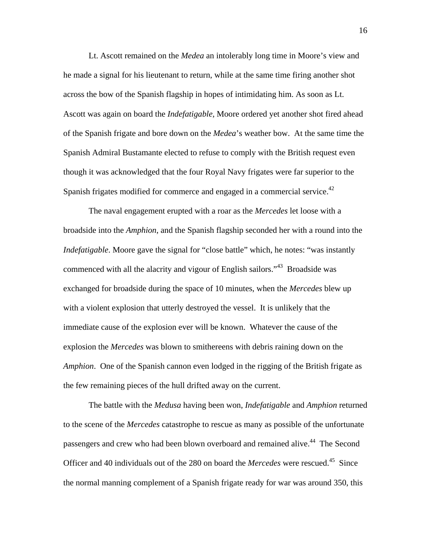Lt. Ascott remained on the *Medea* an intolerably long time in Moore's view and he made a signal for his lieutenant to return, while at the same time firing another shot across the bow of the Spanish flagship in hopes of intimidating him. As soon as Lt. Ascott was again on board the *Indefatigable,* Moore ordered yet another shot fired ahead of the Spanish frigate and bore down on the *Medea*'s weather bow. At the same time the Spanish Admiral Bustamante elected to refuse to comply with the British request even though it was acknowledged that the four Royal Navy frigates were far superior to the Spanish frigates modified for commerce and engaged in a commercial service.<sup>42</sup>

 The naval engagement erupted with a roar as the *Mercedes* let loose with a broadside into the *Amphion*, and the Spanish flagship seconded her with a round into the *Indefatigable*. Moore gave the signal for "close battle" which, he notes: "was instantly commenced with all the alacrity and vigour of English sailors."<sup>43</sup> Broadside was exchanged for broadside during the space of 10 minutes, when the *Mercedes* blew up with a violent explosion that utterly destroyed the vessel. It is unlikely that the immediate cause of the explosion ever will be known. Whatever the cause of the explosion the *Mercedes* was blown to smithereens with debris raining down on the *Amphion*. One of the Spanish cannon even lodged in the rigging of the British frigate as the few remaining pieces of the hull drifted away on the current.

 The battle with the *Medusa* having been won, *Indefatigable* and *Amphion* returned to the scene of the *Mercedes* catastrophe to rescue as many as possible of the unfortunate passengers and crew who had been blown overboard and remained alive.<sup>44</sup> The Second Officer and 40 individuals out of the 280 on board the *Mercedes* were rescued.<sup>45</sup> Since the normal manning complement of a Spanish frigate ready for war was around 350, this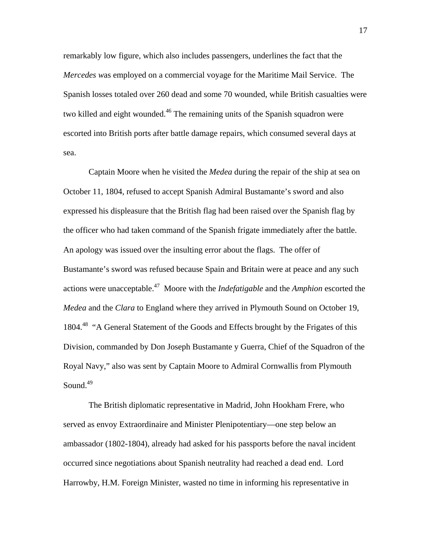remarkably low figure, which also includes passengers, underlines the fact that the *Mercedes w*as employed on a commercial voyage for the Maritime Mail Service. The Spanish losses totaled over 260 dead and some 70 wounded, while British casualties were two killed and eight wounded.<sup>46</sup> The remaining units of the Spanish squadron were escorted into British ports after battle damage repairs, which consumed several days at sea.

 Captain Moore when he visited the *Medea* during the repair of the ship at sea on October 11, 1804, refused to accept Spanish Admiral Bustamante's sword and also expressed his displeasure that the British flag had been raised over the Spanish flag by the officer who had taken command of the Spanish frigate immediately after the battle. An apology was issued over the insulting error about the flags. The offer of Bustamante's sword was refused because Spain and Britain were at peace and any such actions were unacceptable.47 Moore with the *Indefatigable* and the *Amphion* escorted the *Medea* and the *Clara* to England where they arrived in Plymouth Sound on October 19, 1804.<sup>48</sup> "A General Statement of the Goods and Effects brought by the Frigates of this Division, commanded by Don Joseph Bustamante y Guerra, Chief of the Squadron of the Royal Navy," also was sent by Captain Moore to Admiral Cornwallis from Plymouth Sound. $49$ 

 The British diplomatic representative in Madrid, John Hookham Frere, who served as envoy Extraordinaire and Minister Plenipotentiary—one step below an ambassador (1802-1804), already had asked for his passports before the naval incident occurred since negotiations about Spanish neutrality had reached a dead end. Lord Harrowby, H.M. Foreign Minister, wasted no time in informing his representative in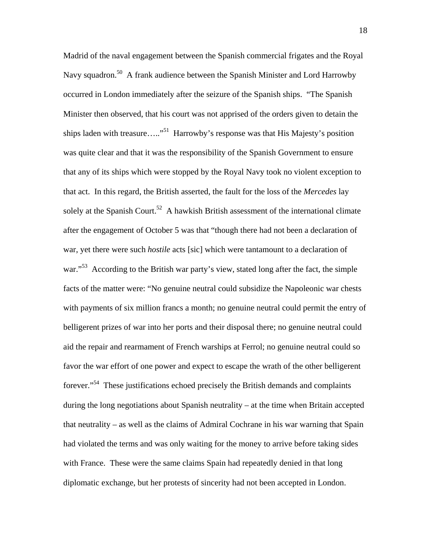Madrid of the naval engagement between the Spanish commercial frigates and the Royal Navy squadron.<sup>50</sup> A frank audience between the Spanish Minister and Lord Harrowby occurred in London immediately after the seizure of the Spanish ships. "The Spanish Minister then observed, that his court was not apprised of the orders given to detain the ships laden with treasure….."<sup>51</sup> Harrowby's response was that His Majesty's position was quite clear and that it was the responsibility of the Spanish Government to ensure that any of its ships which were stopped by the Royal Navy took no violent exception to that act. In this regard, the British asserted, the fault for the loss of the *Mercedes* lay solely at the Spanish Court.<sup>52</sup> A hawkish British assessment of the international climate after the engagement of October 5 was that "though there had not been a declaration of war, yet there were such *hostile* acts [sic] which were tantamount to a declaration of war."<sup>53</sup> According to the British war party's view, stated long after the fact, the simple facts of the matter were: "No genuine neutral could subsidize the Napoleonic war chests with payments of six million francs a month; no genuine neutral could permit the entry of belligerent prizes of war into her ports and their disposal there; no genuine neutral could aid the repair and rearmament of French warships at Ferrol; no genuine neutral could so favor the war effort of one power and expect to escape the wrath of the other belligerent forever."54 These justifications echoed precisely the British demands and complaints during the long negotiations about Spanish neutrality – at the time when Britain accepted that neutrality – as well as the claims of Admiral Cochrane in his war warning that Spain had violated the terms and was only waiting for the money to arrive before taking sides with France. These were the same claims Spain had repeatedly denied in that long diplomatic exchange, but her protests of sincerity had not been accepted in London.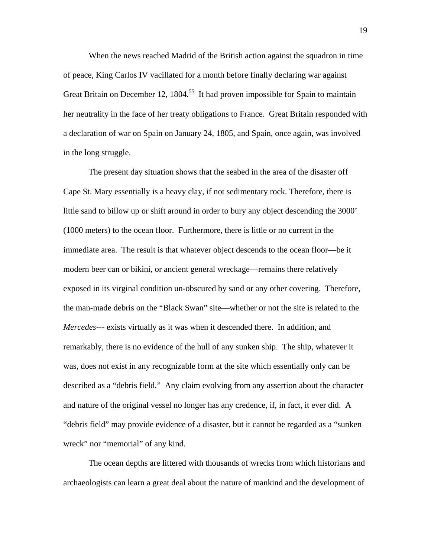When the news reached Madrid of the British action against the squadron in time of peace, King Carlos IV vacillated for a month before finally declaring war against Great Britain on December 12, 1804.<sup>55</sup> It had proven impossible for Spain to maintain her neutrality in the face of her treaty obligations to France. Great Britain responded with a declaration of war on Spain on January 24, 1805, and Spain, once again, was involved in the long struggle.

 The present day situation shows that the seabed in the area of the disaster off Cape St. Mary essentially is a heavy clay, if not sedimentary rock. Therefore, there is little sand to billow up or shift around in order to bury any object descending the 3000' (1000 meters) to the ocean floor. Furthermore, there is little or no current in the immediate area. The result is that whatever object descends to the ocean floor—be it modern beer can or bikini, or ancient general wreckage—remains there relatively exposed in its virginal condition un-obscured by sand or any other covering. Therefore, the man-made debris on the "Black Swan" site—whether or not the site is related to the *Mercedes---* exists virtually as it was when it descended there. In addition, and remarkably, there is no evidence of the hull of any sunken ship. The ship, whatever it was, does not exist in any recognizable form at the site which essentially only can be described as a "debris field." Any claim evolving from any assertion about the character and nature of the original vessel no longer has any credence, if, in fact, it ever did. A "debris field" may provide evidence of a disaster, but it cannot be regarded as a "sunken wreck" nor "memorial" of any kind.

 The ocean depths are littered with thousands of wrecks from which historians and archaeologists can learn a great deal about the nature of mankind and the development of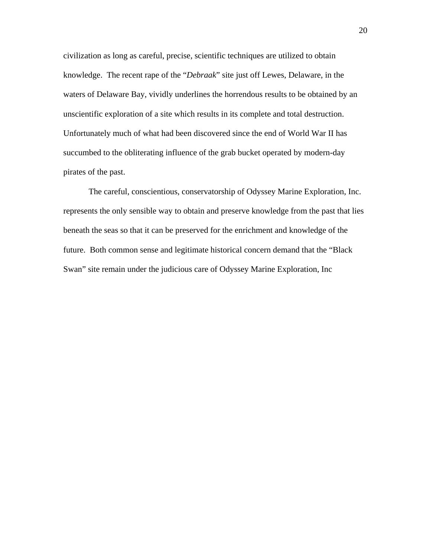civilization as long as careful, precise, scientific techniques are utilized to obtain knowledge. The recent rape of the "*Debraak*" site just off Lewes, Delaware, in the waters of Delaware Bay, vividly underlines the horrendous results to be obtained by an unscientific exploration of a site which results in its complete and total destruction. Unfortunately much of what had been discovered since the end of World War II has succumbed to the obliterating influence of the grab bucket operated by modern-day pirates of the past.

 The careful, conscientious, conservatorship of Odyssey Marine Exploration, Inc. represents the only sensible way to obtain and preserve knowledge from the past that lies beneath the seas so that it can be preserved for the enrichment and knowledge of the future. Both common sense and legitimate historical concern demand that the "Black Swan" site remain under the judicious care of Odyssey Marine Exploration, Inc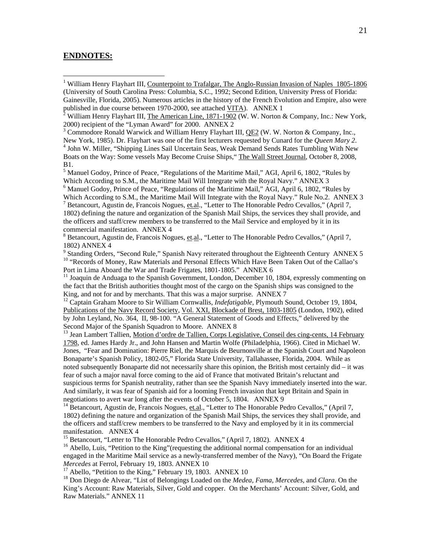#### **ENDNOTES:**

<sup>1</sup><br>William Henry Flayhart III, Counterpoint to Trafalgar, The Anglo-Russian Invasion of Naples 1805-1806 (University of South Carolina Press: Columbia, S.C., 1992; Second Edition, University Press of Florida: Gainesville, Florida, 2005). Numerous articles in the history of the French Evolution and Empire, also were published in due course between 1970-2000, see attached VITA). ANNEX 1

<sup>3</sup> Commodore Ronald Warwick and William Henry Flayhart III,  $QE2$  (W. W. Norton & Company, Inc., New York, 1985). Dr. Flayhart was one of the first lecturers requested by Cunard for the *Queen Mary 2*. 4 <sup>4</sup> John W. Miller, "Shipping Lines Sail Uncertain Seas, Weak Demand Sends Rates Tumbling With New Boats on the Way: Some vessels May Become Cruise Ships," The Wall Street Journal, October 8, 2008, B1.

<sup>5</sup> Manuel Godoy, Prince of Peace, "Regulations of the Maritime Mail," AGI, April 6, 1802, "Rules by Which According to S.M., the Maritime Mail Will Integrate with the Royal Navy." ANNEX 3

 $<sup>6</sup>$  Manuel Godoy, Prince of Peace, "Regulations of the Maritime Mail," AGI, April 6, 1802, "Rules by</sup> Which According to S.M., the Maritime Mail Will Integrate with the Royal Navy." Rule No.2. ANNEX 3<sup>7</sup> Betancourt, Agustin de, Francois Nogues, <u>et.al</u>., "Letter to The Honorable Pedro Cevallos," (April 7,

1802) defining the nature and organization of the Spanish Mail Ships, the services they shall provide, and the officers and staff/crew members to be transferred to the Mail Service and employed by it in its commercial manifestation. ANNEX 4

<sup>8</sup> Betancourt, Agustin de, Francois Nogues, et.al., "Letter to The Honorable Pedro Cevallos," (April 7, 1802) ANNEX 4

<sup>9</sup> Standing Orders, "Second Rule," Spanish Navy reiterated throughout the Eighteenth Century ANNEX 5 <sup>10</sup> "Records of Money, Raw Materials and Personal Effects Which Have Been Taken Out of the Callao's Port in Lima Aboard the War and Trade Frigates, 1801-1805." ANNEX 6

<sup>11</sup> Joaquin de Anduaga to the Spanish Government, London, December 10, 1804, expressly commenting on the fact that the British authorities thought most of the cargo on the Spanish ships was consigned to the King, and not for and by merchants. That this was a major surprise. ANNEX 7

12 Captain Graham Moore to Sir William Cornwallis, *Indefatigable,* Plymouth Sound, October 19, 1804, Publications of the Navy Record Society, Vol. XXI, Blockade of Brest, 1803-1805 (London, 1902), edited by John Leyland, No. 364, II, 98-100. "A General Statement of Goods and Effects," delivered by the Second Major of the Spanish Squadron to Moore. ANNEX 8

<sup>13</sup> Jean Lambert Tallien, Motion d'ordre de Tallien, Corps Legislative, Conseil des cing-cents, 14 February 1798, ed. James Hardy Jr., and John Hansen and Martin Wolfe (Philadelphia, 1966). Cited in Michael W. Jones, "Fear and Domination: Pierre Riel, the Marquis de Beurnonville at the Spanish Court and Napoleon Bonaparte's Spanish Policy, 1802-05," Florida State University, Tallahassee, Florida, 2004. While as noted subsequently Bonaparte did not necessarily share this opinion, the British most certainly did – it was fear of such a major naval force coming to the aid of France that motivated Britain's reluctant and suspicious terms for Spanish neutrality, rather than see the Spanish Navy immediately inserted into the war. And similarly, it was fear of Spanish aid for a looming French invasion that kept Britain and Spain in negotiations to avert war long after the events of October 5, 1804. ANNEX 9

<sup>14</sup> Betancourt, Agustin de, Francois Nogues, et.al., "Letter to The Honorable Pedro Cevallos," (April 7, 1802) defining the nature and organization of the Spanish Mail Ships, the services they shall provide, and the officers and staff/crew members to be transferred to the Navy and employed by it in its commercial manifestation. ANNEX 4

<sup>15</sup> Betancourt, "Letter to The Honorable Pedro Cevallos," (April 7, 1802). ANNEX 4

<sup>16</sup> Abello, Luis, "Petition to the King" (requesting the additional normal compensation for an individual engaged in the Maritime Mail service as a newly-transferred member of the Navy), "On Board the Frigate Mercedes at Ferrol, February 19, 1803. ANNEX 10

<sup>17</sup> Abello, "Petition to the King," February 19, 1803. ANNEX 10

18 Don Diego de Alvear, "List of Belongings Loaded on the *Medea, Fama, Mercedes,* and *Clara*. On the King's Account: Raw Materials, Silver, Gold and copper. On the Merchants' Account: Silver, Gold, and Raw Materials." ANNEX 11

<sup>&</sup>lt;sup>2</sup> William Henry Flayhart III, The American Line, 1871-1902 (W. W. Norton & Company, Inc.: New York, 2000) recipient of the "Lyman Award" for 2000. ANNEX 2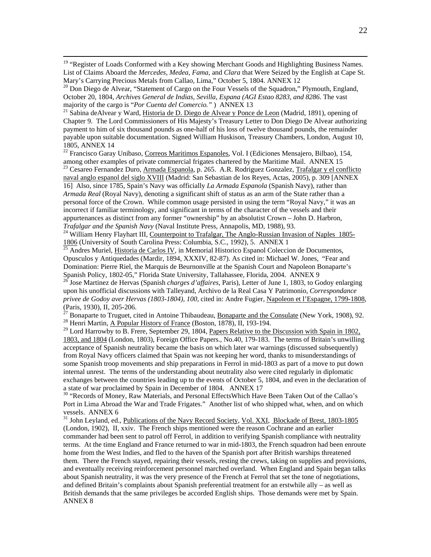<sup>19</sup> "Register of Loads Conformed with a Key showing Merchant Goods and Highlighting Business Names. List of Claims Aboard the *Mercedes, Medea, Fama*, and *Clara* that Were Seized by the English at Cape St. Mary's Carrying Precious Metals from Callao, Lima," October 5, 1804. ANNEX 12

 $^{20}$  Don Diego de Alvear, "Statement of Cargo on the Four Vessels of the Squadron," Plymouth, England, October 20, 1804, *Archives General de Indias, Sevilla, Espana (AGI Estao 8283, and 8286*. The vast majority of the cargo is "*Por Cuenta del Comercio.*") ANNEX 13

<sup>21</sup> Sabina deAlvear y Ward, Historia de D. Diego de Alvear y Ponce de Leon (Madrid, 1891), opening of Chapter 9. The Lord Commissioners of His Majesty's Treasury Letter to Don Diego De Alvear authorizing payment to him of six thousand pounds as one-half of his loss of twelve thousand pounds, the remainder payable upon suitable documentation. Signed William Huskison, Treasury Chambers, London, August 10, 1805, ANNEX 14

<sup>22</sup> Francisco Garay Unibaso, Correos Maritimos Espanoles, Vol. I (Ediciones Mensajero, Bilbao), 154, among other examples of private commercial frigates chartered by the Maritime Mail. ANNEX 15

<sup>23</sup> Cesareo Fernandez Duro, Armada Espanola, p. 265. A.R. Rodriguez Gonzalez, Trafalgar y el conflicto naval anglo espanol del siglo XVIII (Madrid: San Sebastian de los Reyes, Actas, 2005), p. 309 [ANNEX 16] Also, since 1785, Spain's Navy was officially *La Armada Espanola* (Spanish Navy), rather than *Armada Real* (Royal Navy), denoting a significant shift of status as an arm of the State rather than a personal force of the Crown. While common usage persisted in using the term "Royal Navy," it was an incorrect if familiar terminology, and significant in terms of the character of the vessels and their appurtenances as distinct from any former "ownership" by an absolutist Crown – John D. Harbron, *Trafalgar and the Spanish Navy* (Naval Institute Press, Annapolis, MD, 1988), 93.<br><sup>24</sup> William Henry Flayhart III, Counterpoint to Trafalgar, The Anglo-Russian Invasion of Naples 1805-

1806 (University of South Carolina Press: Columbia, S.C., 1992), 5. ANNEX 1<br><sup>25</sup> Andres Muriel, <u>Historia de Carlos IV</u>, in Memorial Historico Espanol Coleccion de Documentos,

Opusculos y Antiquedades (Mardir, 1894, XXXIV, 82-87). As cited in: Michael W. Jones, "Fear and Domination: Pierre Riel, the Marquis de Beurnonville at the Spanish Court and Napoleon Bonaparte's

<sup>26</sup> Jose Martinez de Hervas (Spanish *charges d'affaires*, Paris), Letter of June 1, 1803, to Godoy enlarging upon his unofficial discussions with Talleyand, Archivo de la Real Casa Y Patrimonio, *Correspondance privee de Godoy aver Hervas (1803-1804), 100,* cited in: Andre Fugier, Napoleon et l'Espagne, 1799-1808, (Paris, 1930), II, 205-206.

<sup>27</sup> Bonaparte to Truguet, cited in Antoine Thibaudeau, <u>Bonaparte and the Consulate</u> (New York, 1908), 92.<br><sup>28</sup> Henri Martin, <u>A Popular History of France</u> (Boston, 1878), II, 193-194.

 $^{29}$  Lord Harrowby to B. Frere, September 29, 1804, Papers Relative to the Discussion with Spain in 1802, 1803, and 1804 (London, 1803), Foreign Office Papers., No.40, 179-183. The terms of Britain's unwilling acceptance of Spanish neutrality became the basis on which later war warnings (discussed subsequently) from Royal Navy officers claimed that Spain was not keeping her word, thanks to misunderstandings of some Spanish troop movements and ship preparations in Ferrol in mid-1803 as part of a move to put down internal unrest. The terms of the understanding about neutrality also were cited regularly in diplomatic exchanges between the countries leading up to the events of October 5, 1804, and even in the declaration of

a state of war proclaimed by Spain in December of 1804. ANNEX 17<br><sup>30</sup> "Records of Money, Raw Materials, and Personal EffectsWhich Have Been Taken Out of the Callao's Port in Lima Abroad the War and Trade Frigates." Another list of who shipped what, when, and on which vessels. ANNEX 6

<sup>31</sup> John Leyland, ed., Publications of the Navy Record Society, Vol. XXI, Blockade of Brest, 1803-1805 (London, 1902), II, xxiv. The French ships mentioned were the reason Cochrane and an earlier commander had been sent to patrol off Ferrol, in addition to verifying Spanish compliance with neutrality terms. At the time England and France returned to war in mid-1803, the French squadron had been enroute home from the West Indies, and fled to the haven of the Spanish port after British warships threatened them. There the French stayed, repairing their vessels, resting the crews, taking on supplies and provisions, and eventually receiving reinforcement personnel marched overland. When England and Spain began talks about Spanish neutrality, it was the very presence of the French at Ferrol that set the tone of negotiations, and defined Britain's complaints about Spanish preferential treatment for an erstwhile ally – as well as British demands that the same privileges be accorded English ships. Those demands were met by Spain. ANNEX 8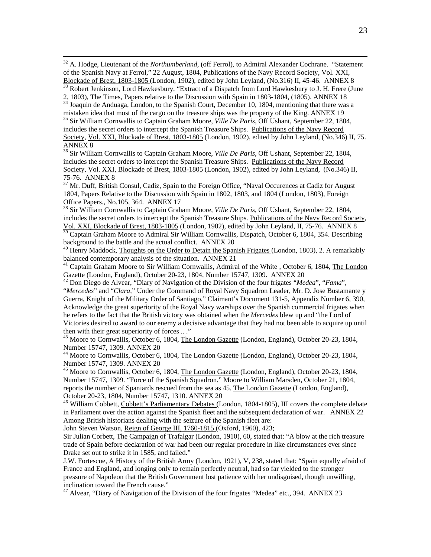<sup>32</sup> A. Hodge, Lieutenant of the *Northumberland*, (off Ferrol), to Admiral Alexander Cochrane. "Statement of the Spanish Navy at Ferrol," 22 August, 1804, Publications of the Navy Record Society, Vol. XXI,

Blockade of Brest, 1803-1805 (London, 1902), edited by John Leyland, (No.316) II, 45-46. ANNEX 8<br><sup>33</sup> Robert Jenkinson, Lord Hawkesbury, "Extract of a Dispatch from Lord Hawkesbury to J. H. Frere (June<br>2, 1803), The Times,

 $2, 1803$ , The Times, Papers relative to the Spain in 1803-1804, mentioning that there was a 34 Joaquin de Anduaga, London, to the Spanish Court, December 10, 1804, mentioning that there was a mistaken idea that most of the cargo on the treasure ships was the property of the King. ANNEX 19 35 Sir William Cornwallis to Captain Graham Moore, *Ville De Paris*, Off Ushant, September 22, 1804,

includes the secret orders to intercept the Spanish Treasure Ships. Publications of the Navy Record Society, Vol. XXI, Blockade of Brest, 1803-1805 (London, 1902), edited by John Leyland, (No.346) II, 75. ANNEX 8

36 Sir William Cornwallis to Captain Graham Moore, *Ville De Paris*, Off Ushant, September 22, 1804, includes the secret orders to intercept the Spanish Treasure Ships. Publications of the Navy Record Society, Vol. XXI, Blockade of Brest, 1803-1805 (London, 1902), edited by John Leyland, (No.346) II, 75-76. ANNEX 8

<sup>37</sup> Mr. Duff, British Consul, Cadiz, Spain to the Foreign Office, "Naval Occurences at Cadiz for August 1804, Papers Relative to the Discussion with Spain in 1802, 1803, and 1804 (London, 1803), Foreign Office Papers., No.105, 364. ANNEX 17

38 Sir William Cornwallis to Captain Graham Moore, *Ville De Paris*, Off Ushant, September 22, 1804, includes the secret orders to intercept the Spanish Treasure Ships. Publications of the Navy Record Society, Vol. XXI, Blockade of Brest, 1803-1805 (London, 1902), edited by John Leyland, II, 75-76. ANNEX 8

<sup>39</sup> Captain Graham Moore to Admiral Sir William Cornwallis, Dispatch, October 6, 1804, 354. Describing background to the battle and the actual conflict. ANNEX 20

<sup>40</sup> Henry Maddock, Thoughts on the Order to Detain the Spanish Frigates (London, 1803), 2. A remarkably balanced contemporary analysis of the situation. ANNEX 21

<sup>41</sup> Captain Graham Moore to Sir William Cornwallis, Admiral of the White , October 6, 1804, The London Gazette (London, England), October 20-23, 1804, Number 15747, 1309. ANNEX 20

Gazette (London, England), October 20-23, 1804, Number 15747, 1309. ANNEX 20 42 Don Diego de Alvear, "Diary of Navigation of the Division of the four frigates "*Medea*", "*Fama*", "*Mercedes*" and "*Clara,*" Under the Command of Royal Navy Squadron Leader, Mr. D. Jose Bustamante y Guerra, Knight of the Military Order of Santiago," Claimant's Document 131-5, Appendix Number 6, 390, Acknowledge the great superiority of the Royal Navy warships over the Spanish commercial frigates when he refers to the fact that the British victory was obtained when the *Mercedes* blew up and "the Lord of Victories desired to award to our enemy a decisive advantage that they had not been able to acquire up until then with their great superiority of forces .. ."

<sup>43</sup> Moore to Cornwallis, October 6, 1804, The London Gazette (London, England), October 20-23, 1804, Number 15747, 1309. ANNEX 20

44 Moore to Cornwallis, October 6, 1804, The London Gazette (London, England), October 20-23, 1804, Number 15747, 1309. ANNEX 20

<sup>45</sup> Moore to Cornwallis, October 6, 1804, The London Gazette (London, England), October 20-23, 1804, Number 15747, 1309. "Force of the Spanish Squadron." Moore to William Marsden, October 21, 1804, reports the number of Spaniards rescued from the sea as 45. The London Gazette (London, England), October 20-23, 1804, Number 15747, 1310. ANNEX 20

<sup>46</sup> William Cobbett, Cobbett's Parliamentary Debates (London, 1804-1805), III covers the complete debate in Parliament over the action against the Spanish fleet and the subsequent declaration of war. ANNEX 22 Among British historians dealing with the seizure of the Spanish fleet are:

John Steven Watson, Reign of George III, 1760-1815 (Oxford, 1960), 423;

Sir Julian Corbett, The Campaign of Trafalgar (London, 1910), 60, stated that: "A blow at the rich treasure trade of Spain before declaration of war had been our regular procedure in like circumstances ever since Drake set out to strike it in 1585, and failed."

J.W. Fortescue, A History of the British Army (London, 1921), V, 238, stated that: "Spain equally afraid of France and England, and longing only to remain perfectly neutral, had so far yielded to the stronger pressure of Napoleon that the British Government lost patience with her undisguised, though unwilling, inclination toward the French cause."

<sup>47</sup> Alvear, "Diary of Navigation of the Division of the four frigates "Medea" etc., 394. ANNEX 23